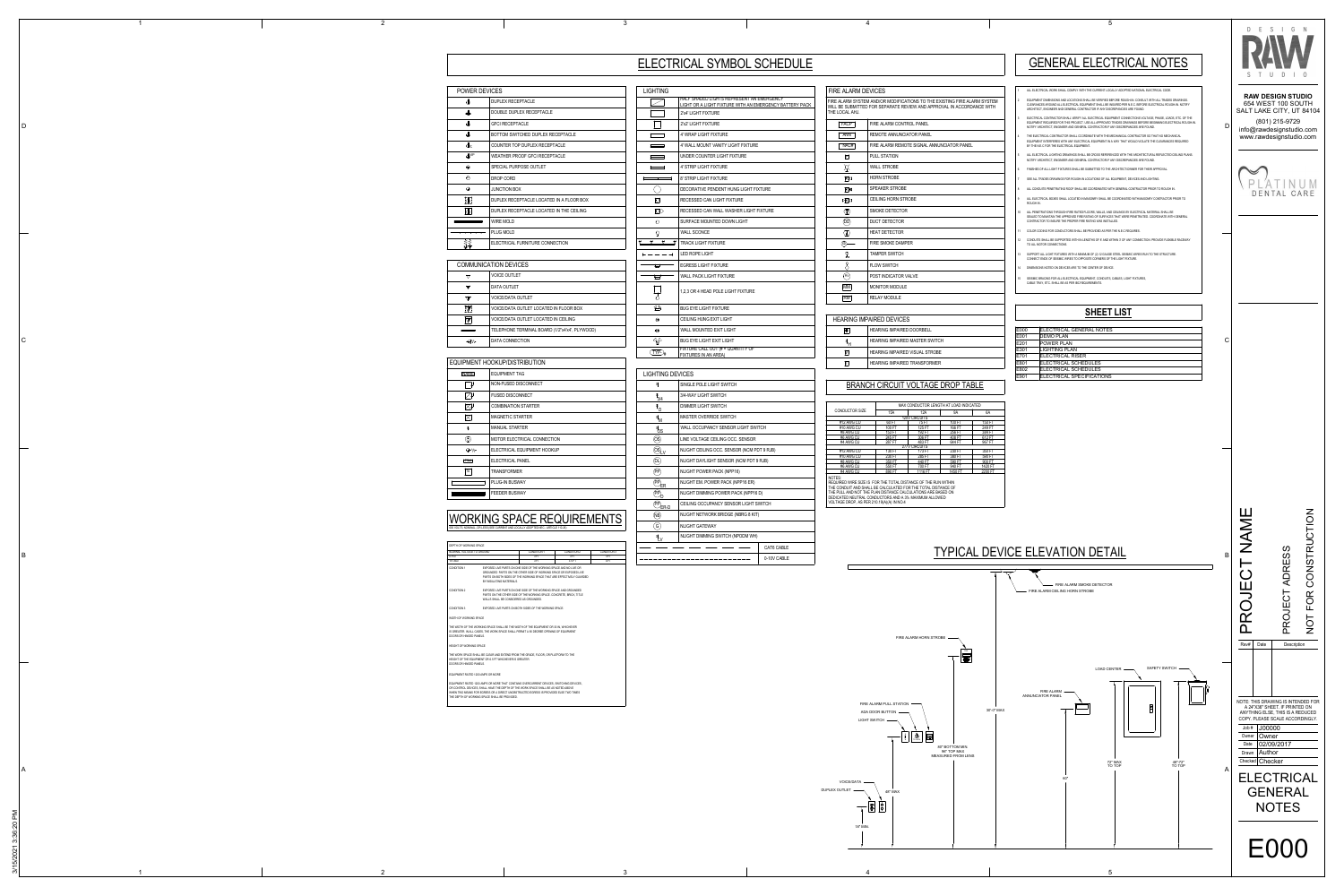# ELECTRICAL SYMBOL SCHEDULE

| <b>LIGHTING</b>                            |                                                                                                      |
|--------------------------------------------|------------------------------------------------------------------------------------------------------|
|                                            | HALF SHADED LIGHTS REPRESENT AN EMERGENCY<br>LIGHT OR A LIGHT FIXTURE WITH AN EMERGENCY BATTERY PACK |
|                                            | 2'x4' LIGHT FIXTURE                                                                                  |
|                                            | 2'x2' LIGHT FIXTURE                                                                                  |
|                                            | 4' WRAP LIGHT FIXTURE                                                                                |
| <b>Contract Contract Contract Contract</b> | 4' WALL MOUNT VANITY LIGHT FIXTURE                                                                   |
|                                            | UNDER COUNTER LIGHT FIXTURE                                                                          |
|                                            | 4' STRIP LIGHT FIXTURE                                                                               |
|                                            | 8' STRIP LIGHT FIXTURE                                                                               |
|                                            | DECORATIVE PENDENT HUNG LIGHT FIXTURE                                                                |
| $\circlearrowright$                        | RECESSED CAN LIGHT FIXTURE                                                                           |
| $\circledcirc$                             | RECESSED CAN WALL WASHER LIGHT FIXTURE                                                               |
| O                                          | SURFACE MOUNTED DOWN LIGHT                                                                           |
| $\circ$                                    | <b>WALL SCONCE</b>                                                                                   |
| $\sqrt{ }$<br>$\Delta$                     | <b>TRACK LIGHT FIXTURE</b>                                                                           |
| $- - - -$                                  | <b>LED ROPE LIGHT</b>                                                                                |
|                                            | <b>EGRESS LIGHT FIXTURE</b>                                                                          |
|                                            | <b>WALL PACK LIGHT FIXTURE</b>                                                                       |
|                                            | 1,2,3 OR 4 HEAD POLE LIGHT FIXTURE                                                                   |
| 44                                         | <b>BUG EYE LIGHT FIXTURE</b>                                                                         |
| ⊗                                          | CEILING HUNG EXIT LIGHT                                                                              |
| ю                                          | WALL MOUNTED EXIT LIGHT                                                                              |
| $\frac{1}{2}$                              | <b>BUG EYE LIGHT EXIT LIGHT</b>                                                                      |
| $\overline{\text{TP}}_4$                   | FIXTURE CALL OUT (# = QUANTITY OF<br>FIXTURES IN AN AREA)                                            |

## LIGHTING DEVICES

| \$                                   | SINGLE POLE LIGHT SWITCH                   |             |  |  |  |
|--------------------------------------|--------------------------------------------|-------------|--|--|--|
| $\frac{1}{3}$ 3/4                    | 3/4-WAY LIGHT SWITCH                       |             |  |  |  |
| $\ ^{\$}{}_{\underline{\mathsf{D}}}$ | <b>DIMMER LIGHT SWITCH</b>                 |             |  |  |  |
| $\frac{1}{2}$                        | MASTER OVERRIDE SWITCH                     |             |  |  |  |
| $^{\$}$ OS                           | WALL OCCUPANCY SENSOR LIGHT SWITCH         |             |  |  |  |
| OS)                                  | LINE VOLTAGE CEILING OCC. SENSOR           |             |  |  |  |
| $\circledS_{\mathsf{LV}}$            | NLIGHT CEILING OCC. SENSOR (NCM PDT 9 RJB) |             |  |  |  |
| Q)                                   | NLIGHT DAYLIGHT SENSOR (NCM PDT 9 RJB)     |             |  |  |  |
| $(\mathsf{PP})$                      | NLIGHT POWER PACK (NPP16)                  |             |  |  |  |
| $\widehat{P}$                        | NLIGHT EM. POWER PACK (NPP16 ER)           |             |  |  |  |
| PP)                                  | NLIGHT DIMMING POWER PACK (NPP16 D)        |             |  |  |  |
| $\overbrace{PP}_{ER-D}$              | CEILING OCCUPANCY SENSOR LIGHT SWITCH      |             |  |  |  |
| (NB)                                 | NLIGHT NETWORK BRIDGE (NBRG 8 KIT)         |             |  |  |  |
| $\left( G\right)$                    | NLIGHT GATEWAY                             |             |  |  |  |
|                                      | NLIGHT DIMMING SWITCH (NPODM WH)           |             |  |  |  |
|                                      |                                            | CAT6 CABLE  |  |  |  |
|                                      |                                            | 0-10V CABLE |  |  |  |

| INE LUUAL ANJ.                          |                             |
|-----------------------------------------|-----------------------------|
| <b>FACP</b>                             | FIRE ALARM CONTROL PANEL    |
| <b>ANN</b>                              | REMOTE ANNUNCIATOR PANEL    |
| NAC#                                    | FIRE ALARM REMOTE SIGNAL AN |
| P                                       | <b>PULL STATION</b>         |
| $\cancel{\approx}$                      | <b>WALL STROBE</b>          |
| 风                                       | <b>HORN STROBE</b>          |
| ⊠∢                                      | <b>SPEAKER STROBE</b>       |
| d¤k                                     | <b>CEILING HORN STROBE</b>  |
| $\langle \overline{\mathbf{2}} \rangle$ | SMOKE DETECTOR              |
| (DD)                                    | <b>DUCT DETECTOR</b>        |
| $\langle \Gamma \rangle$                | <b>HEAT DETECTOR</b>        |
| (SD)                                    | <b>FIRE SMOKE DAMPER</b>    |
| L                                       | <b>TAMPER SWITCH</b>        |
| 8                                       | <b>FLOW SWITCH</b>          |
| PIV                                     | <b>POST INDICATOR VALVE</b> |
| MM                                      | <b>MONITOR MODULE</b>       |
| IRMI                                    | REI AY MODULE               |

| $\bullet$ | HEARING IMPAIRED DOORBELL           |
|-----------|-------------------------------------|
|           | HEARING IMPAIRED MASTER SW          |
| V         | <b>HEARING IMPAIRED VISUAL STRO</b> |
|           | <b>HEARING IMPAIRED TRANSFORM</b>   |

|                          | - 1 | $\overline{2}$ |                                                         |                                                                                                                                                                                  |
|--------------------------|-----|----------------|---------------------------------------------------------|----------------------------------------------------------------------------------------------------------------------------------------------------------------------------------|
|                          |     |                |                                                         |                                                                                                                                                                                  |
|                          |     |                |                                                         |                                                                                                                                                                                  |
|                          |     |                |                                                         |                                                                                                                                                                                  |
|                          |     |                |                                                         |                                                                                                                                                                                  |
|                          |     |                |                                                         |                                                                                                                                                                                  |
|                          |     |                |                                                         |                                                                                                                                                                                  |
|                          |     |                |                                                         |                                                                                                                                                                                  |
|                          |     |                | POWER DEVICES                                           |                                                                                                                                                                                  |
|                          |     |                | $\mathbb{P}$                                            | DUPLEX RECEPTACLE                                                                                                                                                                |
|                          |     |                | $\Rightarrow$                                           | DOUBLE DUPLEX RECEPTACLE                                                                                                                                                         |
| D                        |     |                | $\oplus$                                                | <b>GFCI RECEPTACLE</b>                                                                                                                                                           |
|                          |     |                | $\spadesuit$                                            | BOTTOM SWITCHED DUPLEX RECEPTACLE                                                                                                                                                |
|                          |     |                |                                                         |                                                                                                                                                                                  |
|                          |     |                | $\mathbb{P}^{\mathsf{c}}$                               | COUNTER TOP DUPLEX RECEPTACLE                                                                                                                                                    |
|                          |     |                | $\bigoplus$ WP                                          | WEATHER PROOF GFCI RECEPTACLE                                                                                                                                                    |
|                          |     |                | $\bullet$                                               | SPECIAL PURPOSE OUTLET                                                                                                                                                           |
|                          |     |                | $\circledcirc$                                          | DROP CORD                                                                                                                                                                        |
|                          |     |                | $\circledcirc$                                          | JUNCTION BOX                                                                                                                                                                     |
|                          |     |                |                                                         |                                                                                                                                                                                  |
|                          |     |                | $\mathbb{R}$                                            | DUPLEX RECEPTACLE LOCATED IN A FLOOR BOX                                                                                                                                         |
|                          |     |                | $\overline{\mathbb{P}}$                                 | DUPLEX RECEPTACLE LOCATED IN THE CEILING                                                                                                                                         |
|                          |     |                |                                                         | WIRE MOLD                                                                                                                                                                        |
|                          |     |                |                                                         | PLUG MOLD                                                                                                                                                                        |
|                          |     |                |                                                         |                                                                                                                                                                                  |
|                          |     |                | $\frac{1}{100}$                                         | ELECTRICAL FURNITURE CONNECTION                                                                                                                                                  |
|                          |     |                |                                                         |                                                                                                                                                                                  |
|                          |     |                | <b>COMMUNICATION DEVICES</b>                            |                                                                                                                                                                                  |
|                          |     |                | $\nabla$                                                | <b>VOICE OUTLET</b>                                                                                                                                                              |
|                          |     |                | $\blacktriangledown$                                    | DATA OUTLET                                                                                                                                                                      |
|                          |     |                |                                                         |                                                                                                                                                                                  |
|                          |     |                | $\triangledown$                                         | VOICE/DATA OUTLET                                                                                                                                                                |
|                          |     |                | $\overline{\mathbf{V}}$                                 | VOICE/DATA OUTLET LOCATED IN FLOOR BOX                                                                                                                                           |
|                          |     |                | $\sqrt{2}$                                              | VOICE/DATA OUTLET LOCATED IN CEILING                                                                                                                                             |
|                          |     |                | $\sim$ $\sim$                                           | TELEPHONE TERMINAL BOARD (1/2"x4'x4', PLYWOOD)                                                                                                                                   |
| $\mathsf C$              |     |                |                                                         |                                                                                                                                                                                  |
|                          |     |                | $\triangleleft w$                                       | DATA CONNECTION                                                                                                                                                                  |
|                          |     |                |                                                         |                                                                                                                                                                                  |
|                          |     |                | EQUIPMENT HOOKUP/DISTRIBUTION                           |                                                                                                                                                                                  |
|                          |     |                | <b>NAME</b>                                             | <b>EQUIPMENT TAG</b>                                                                                                                                                             |
|                          |     |                | $\Box^\perp$                                            | NON-FUSED DISCONNECT                                                                                                                                                             |
|                          |     |                |                                                         |                                                                                                                                                                                  |
|                          |     |                | $\Box$                                                  | FUSED DISCONNECT                                                                                                                                                                 |
|                          |     |                | $\boxtimes$                                             | <b>COMBINATION STARTER</b>                                                                                                                                                       |
|                          |     |                | $\boxtimes$                                             | MAGNETIC STARTER                                                                                                                                                                 |
|                          |     |                | $\mathfrak{s}_{\!\scriptscriptstyle\mathrm{F}}$         | <b>MANUAL STARTER</b>                                                                                                                                                            |
|                          |     |                |                                                         |                                                                                                                                                                                  |
|                          |     |                | $\circledcirc$                                          | MOTOR ELECTRICAL CONNECTION                                                                                                                                                      |
| $\overline{\phantom{a}}$ |     |                | $\mathbb{O}^{\mathcal{N}}$                              | ELECTRICAL EQUIPMENT HOOKUP                                                                                                                                                      |
|                          |     |                | PNL#                                                    | ELECTRICAL PANEL                                                                                                                                                                 |
|                          |     |                | $\boxed{\mathsf{T}\#}$                                  | TRANSFORMER                                                                                                                                                                      |
|                          |     |                |                                                         |                                                                                                                                                                                  |
|                          |     |                |                                                         | PLUG-IN BUSWAY                                                                                                                                                                   |
|                          |     |                |                                                         | FEEDER BUSWAY                                                                                                                                                                    |
|                          |     |                |                                                         |                                                                                                                                                                                  |
|                          |     |                |                                                         |                                                                                                                                                                                  |
|                          |     |                |                                                         | <b>WORKING SPACE REQUIREMENTS</b>                                                                                                                                                |
|                          |     |                |                                                         | 600 VOLTS, NOMINAL, OR LESS (SEE CURRENT AND LOCALLY ADOPTED NEC - ARTICLE 110.26)                                                                                               |
|                          |     |                |                                                         |                                                                                                                                                                                  |
|                          |     |                | DEPTH OF WORKING SPACE<br>NOMINAL VOLTAGE TO GROUND     | CONDITION 1<br>CONDITION 2<br>CONDITION 3                                                                                                                                        |
| B                        |     |                | $0 - 150$<br>151-600                                    | 3FT<br>3FT<br>3FT<br>3FT<br>3.5 FT<br>4FT                                                                                                                                        |
|                          |     |                | CONDITION 1                                             | EXPOSED LIVE PARTS ON ONE SIDE OF THE WORKING SPACE AND NO LIVE OR                                                                                                               |
|                          |     |                |                                                         | GROUNDED PARTS ON THE OTHER SIDE OF WORKING SPACE OR EXPOSED LIVE<br>PARTS ON BOTH SIDES OF THE WORKING SPACE THAT ARE EFFECTIVELY GUARDED                                       |
|                          |     |                | BY INSULATING MATERIALS.                                |                                                                                                                                                                                  |
|                          |     |                | <b>CONDITION 2</b>                                      | EXPOSED LIVE PARTS ON ONE SIDE OF THE WORKING SPACE AND GROUNDED<br>PARTS ON THE OTHER SIDE OF THE WORKING SPACE. CONCRETE, BRICK, TITLE                                         |
|                          |     |                |                                                         | WALLS SHALL BE CONSIDERED AS GROUNDED.                                                                                                                                           |
|                          |     |                | <b>CONDITION 3</b>                                      | EXPOSED LIVE PARTS ON BOTH SIDES OF THE WORKING SPACE.                                                                                                                           |
|                          |     |                | WIDTH OF WORKING SPACE                                  |                                                                                                                                                                                  |
|                          |     |                |                                                         | THE WIDTH OF THE WORKING SPACE SHALL BE THE WIDTH OF THE EQUIPMENT OR 30 IN, WHICHEVER<br>IS GREATER. IN ALL CASES, THE WORK SPACE SHALL PERMIT A 90 DEGREE OPENING OF EQUIPMENT |
|                          |     |                | DOORS OR HINGED PANELS.                                 |                                                                                                                                                                                  |
|                          |     |                | HEIGHT OF WORKING SPACE                                 |                                                                                                                                                                                  |
|                          |     |                | HEIGHT OF THE EQUIPMENT OR 6.5 FT WHICHEVER IS GREATER. | THE WORK SPACE SHALL BE CLEAR AND EXTEND FROM THE GRADE, FLOOR, OR PLATFORM TO THE                                                                                               |
|                          |     |                | DOORS OR HINGED PANELS.                                 |                                                                                                                                                                                  |
|                          |     |                | EQUIPMENT RATED 1200 AMPS OR MORE                       |                                                                                                                                                                                  |
|                          |     |                |                                                         | EQUIPMENT RATED 1200 AMPS OR MORE THAT CONTAINS OVERCURRENT DEVICES, SWITCHING DEVICES,                                                                                          |
|                          |     |                |                                                         | OR CONTROL DEVICES, SHALL HAVE THE DEPTH OF THE WORK SPACE SHALL BE AS NOTED ABOVE<br>WHEN TWO MEANS FOR EGRESS OR A DIRECT UNOBSTRUCTED EGRESS IS PROVIDED ELSE TWO TIMES       |
|                          |     |                | THE DEPTH OF WORKING SPACE SHALL BE PROVIDED.           |                                                                                                                                                                                  |
|                          |     |                |                                                         |                                                                                                                                                                                  |
|                          |     |                |                                                         |                                                                                                                                                                                  |
|                          |     |                |                                                         |                                                                                                                                                                                  |
|                          |     |                |                                                         |                                                                                                                                                                                  |
|                          |     |                |                                                         |                                                                                                                                                                                  |
|                          |     |                |                                                         |                                                                                                                                                                                  |
|                          |     |                |                                                         |                                                                                                                                                                                  |
| A                        |     |                |                                                         |                                                                                                                                                                                  |
|                          |     |                |                                                         |                                                                                                                                                                                  |
|                          |     |                |                                                         |                                                                                                                                                                                  |
|                          |     |                |                                                         |                                                                                                                                                                                  |
|                          |     |                |                                                         |                                                                                                                                                                                  |
|                          |     |                |                                                         |                                                                                                                                                                                  |
|                          |     |                |                                                         |                                                                                                                                                                                  |
|                          |     |                |                                                         |                                                                                                                                                                                  |
|                          |     |                |                                                         |                                                                                                                                                                                  |

|                                                               |        | <b>MAX CONDUCTOR L</b> |  |  |
|---------------------------------------------------------------|--------|------------------------|--|--|
| <b>CONDUCTOR SIZE</b>                                         | 15A    | 12A                    |  |  |
|                                                               |        | <b>120V CIRCUITS</b>   |  |  |
| #12 AWG CU                                                    | 60 FT  | 75 FT                  |  |  |
| #10 AWG CU                                                    | 100 FT | 125 FT                 |  |  |
| #8 AWG CU                                                     | 153 FT | 192 FT                 |  |  |
| #6 AWG CU                                                     | 245 FT | 306 FT                 |  |  |
| #4 AWG CU                                                     | 287 FT | 483 FT                 |  |  |
|                                                               |        | <b>277V CIRCUITS</b>   |  |  |
| #12 AWG CU                                                    | 130 FT | 173 FT                 |  |  |
| #10 AWG CU                                                    | 230 FT | 285 FT                 |  |  |
| #8 AWG CU                                                     | 350 FT | 440 FT                 |  |  |
| #6 AWG CU                                                     | 550 FT | 700 FT                 |  |  |
| #4 AWG CU                                                     | 890 FT | 1116 FT                |  |  |
| NOTES:<br>REQUIRED WIRE SIZE IS FOR THE TOTAL DISTANCE OF THE |        |                        |  |  |
|                                                               |        |                        |  |  |

VOLTAGE DROP, AS PER 210.19(A)(A) IN NO.4

1

3

4

5

3



3/15/2021 3:36:20 PM

5/2021 3:36:20 PM

 $\frac{1}{2}$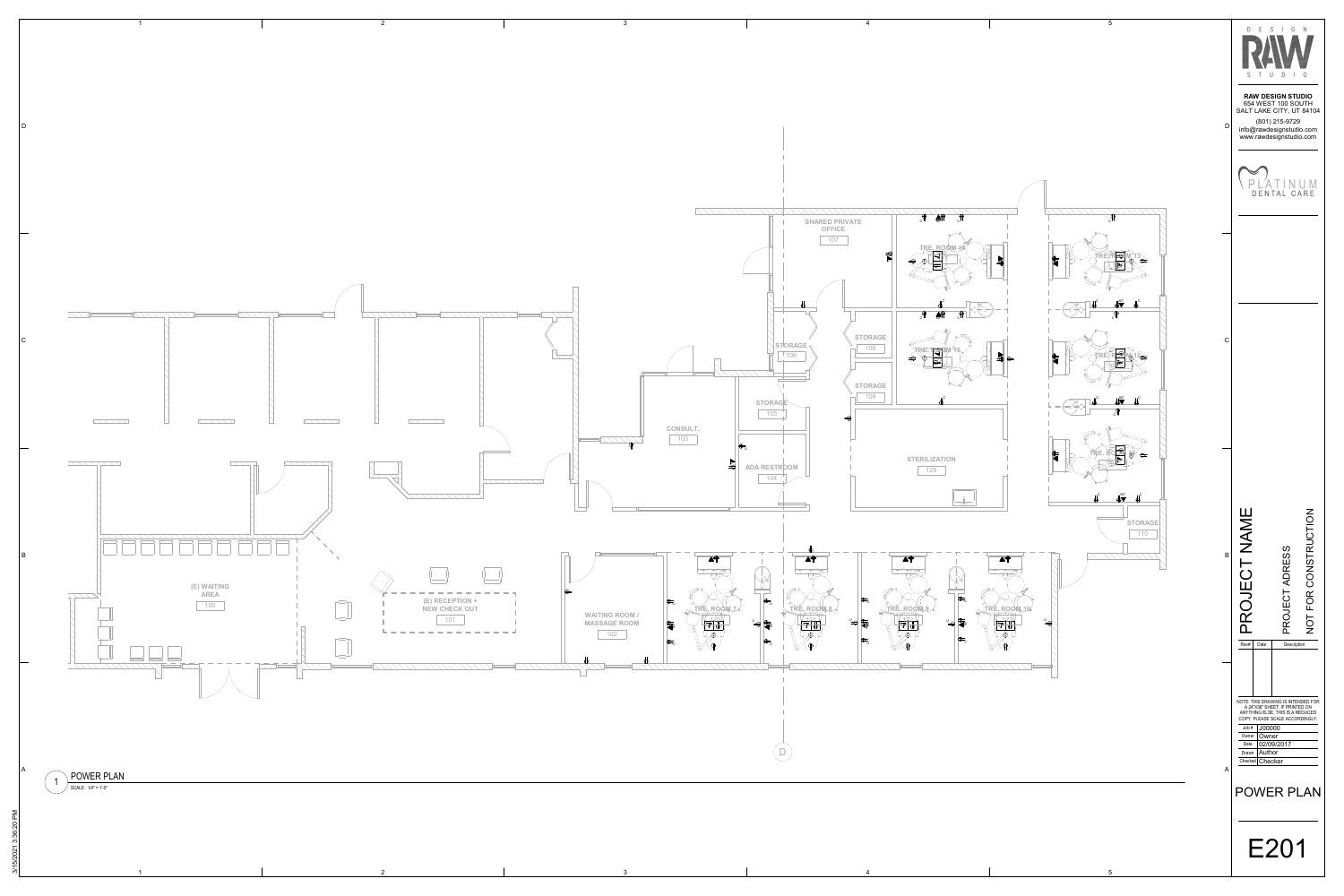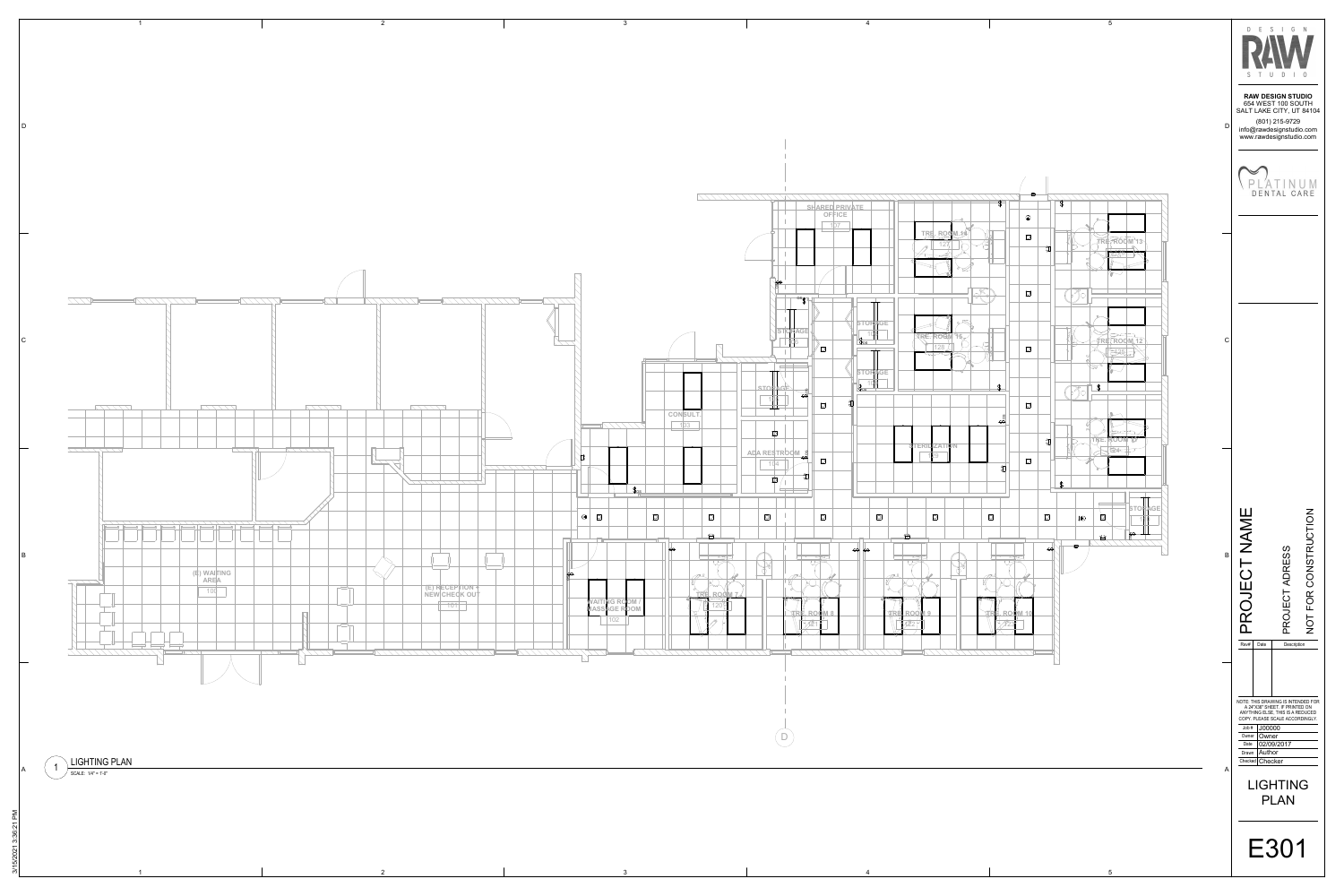

3/15/2021 3:36:21 PM 5/2021 3:36:21

1



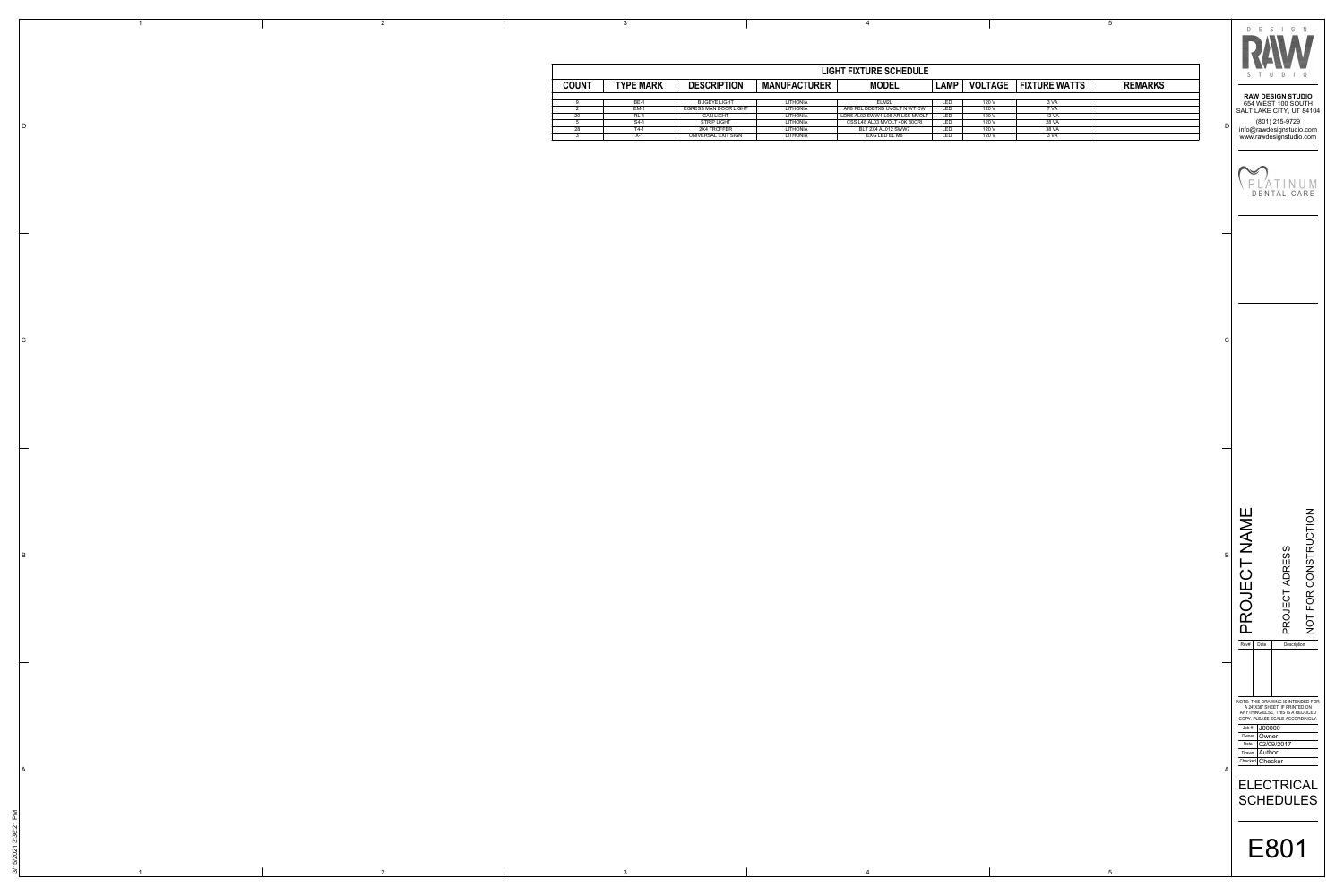$\overline{\mathbf{3}}$ 

 $\overline{1}$ 

| <b>LIGHT FIXTURE SCHEDULE</b> |                  |                              |                     |                                 |             |                |                      |                |
|-------------------------------|------------------|------------------------------|---------------------|---------------------------------|-------------|----------------|----------------------|----------------|
| <b>COUNT</b>                  | <b>TYPE MARK</b> | <b>DESCRIPTION</b>           | <b>MANUFACTURER</b> | <b>MODEL</b>                    | <b>LAMP</b> | <b>VOLTAGE</b> | <b>FIXTURE WATTS</b> | <b>REMARKS</b> |
|                               | <b>BE-1</b>      | <b>BUGEYE LIGHT</b>          | LITHONIA            | ELM2L                           | <b>LED</b>  | 120 V          | 3 VA                 |                |
|                               | EM-1             | <b>EGRESS MAN DOOR LIGHT</b> | LITHONIA            | AFB PEL DDBTXD UVOLT N WT CW    | <b>LED</b>  | 120 V          | 7 VA                 |                |
| 20                            | RL-1             | <b>CAN LIGHT</b>             | LITHONIA            | LDN6 AL02 SWW1 L06 AR LSS MVOLT | <b>LED</b>  | 120 V          | 12 VA                |                |
|                               | S4-1             | <b>STRIP LIGHT</b>           | LITHONIA            | CSS L48 AL03 MVOLT 40K 80CRI    | <b>LED</b>  | 120 V          | 28 VA                |                |
| 28                            | T4-1             | 2X4 TROFFER                  | LITHONIA            | BLT 2X4 AL012 SWW7              | <b>LED</b>  | 120 V          | 38 VA                |                |
|                               | X-1              | UNIVERSAL EXIT SIGN          | LITHONIA            | EXG LED EL M6                   | <b>LED</b>  | 120 V          | 3 VA                 |                |

 $\overline{4}$ 

 $5\overline{)}$